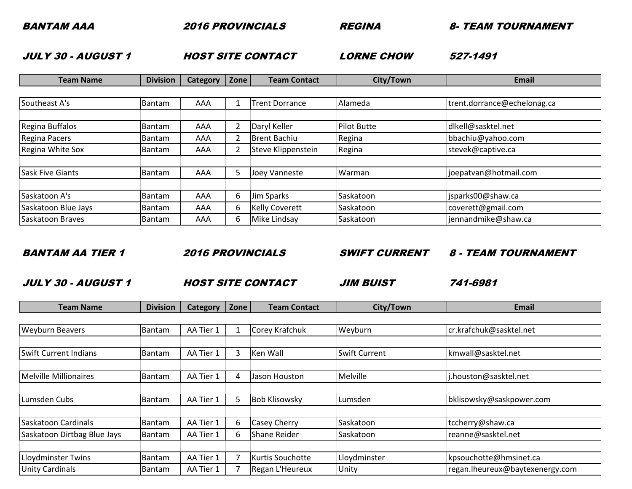2016 PROVINCIALS REGINA 8- TEAM TOURNAMENT

JULY 30 - AUGUST 1

1 **HOST SITE CONTACT** LORNE CHOW

**LORNE CHOW 527-1491** 

| <b>Team Name</b>        | <b>Division</b> | Category | Zone | <b>Team Contact</b>   | City/Town          | <b>Email</b>                |
|-------------------------|-----------------|----------|------|-----------------------|--------------------|-----------------------------|
|                         |                 |          |      |                       |                    |                             |
| Southeast A's           | Bantam          | AAA      |      | <b>Trent Dorrance</b> | Alameda            | trent.dorrance@echelonag.ca |
|                         |                 |          |      |                       |                    |                             |
| Regina Buffalos         | Bantam          | AAA      | 2    | Daryl Keller          | <b>Pilot Butte</b> | dlkell@sasktel.net          |
| Regina Pacers           | <b>Bantam</b>   | AAA      | 2    | <b>Brent Bachiu</b>   | Regina             | bbachiu@yahoo.com           |
| Regina White Sox        | <b>Bantam</b>   | AAA      | 2    | Steve Klippenstein    | Regina             | stevek@captive.ca           |
|                         |                 |          |      |                       |                    |                             |
| <b>Sask Five Giants</b> | <b>Bantam</b>   | AAA      | 5    | Joey Vanneste         | Warman             | joepatvan@hotmail.com       |
|                         |                 |          |      |                       |                    |                             |
| Saskatoon A's           | <b>Bantam</b>   | AAA      | 6    | Jim Sparks            | Saskatoon          | jsparks00@shaw.ca           |
| Saskatoon Blue Jays     | <b>Bantam</b>   | AAA      | 6    | <b>Kelly Coverett</b> | Saskatoon          | coverett@gmail.com          |
| Saskatoon Braves        | <b>Bantam</b>   | AAA      | 6    | Mike Lindsay          | Saskatoon          | jennandmike@shaw.ca         |

BANTAM AA TIER 1

2016 PROVINCIALS

SWIFT CURRENT 8 - TEAM TOURNAMENT

JULY 30 - AUGUST 1

JIM BUISTHOST SITE CONTACT

**JIM BUIST 741-6981** 

| <b>Team Name</b>             | <b>Division</b> | <b>Category</b> | Zone | <b>Team Contact</b>     | City/Town            | <b>Email</b>                    |
|------------------------------|-----------------|-----------------|------|-------------------------|----------------------|---------------------------------|
|                              |                 |                 |      |                         |                      |                                 |
| <b>Weyburn Beavers</b>       | Bantam          | AA Tier 1       |      | Corey Krafchuk          | Weyburn              | cr.krafchuk@sasktel.net         |
|                              |                 |                 |      |                         |                      |                                 |
| <b>Swift Current Indians</b> | Bantam          | AA Tier 1       | 3    | Ken Wall                | <b>Swift Current</b> | kmwall@sasktel.net              |
|                              |                 |                 |      |                         |                      |                                 |
| <b>Melville Millionaires</b> | <b>Bantam</b>   | AA Tier 1       | 4    | Jason Houston           | Melville             | j.houston@sasktel.net           |
|                              |                 |                 |      |                         |                      |                                 |
| Lumsden Cubs                 | <b>Bantam</b>   | AA Tier 1       | 5    | <b>Bob Klisowsky</b>    | Lumsden              | bklisowsky@saskpower.com        |
|                              |                 |                 |      |                         |                      |                                 |
| Saskatoon Cardinals          | <b>Bantam</b>   | AA Tier 1       | 6.   | <b>Casey Cherry</b>     | Saskatoon            | tccherry@shaw.ca                |
| Saskatoon Dirtbag Blue Jays  | Bantam          | AA Tier 1       | 6    | Shane Reider            | Saskatoon            | reanne@sasktel.net              |
|                              |                 |                 |      |                         |                      |                                 |
| <b>Lloydminster Twins</b>    | Bantam          | AA Tier 1       | 7    | <b>Kurtis Souchotte</b> | Lloydminster         | kpsouchotte@hmsinet.ca          |
| <b>Unity Cardinals</b>       | <b>Bantam</b>   | AA Tier 1       |      | Regan L'Heureux         | Unity                | regan.lheureux@baytexenergy.com |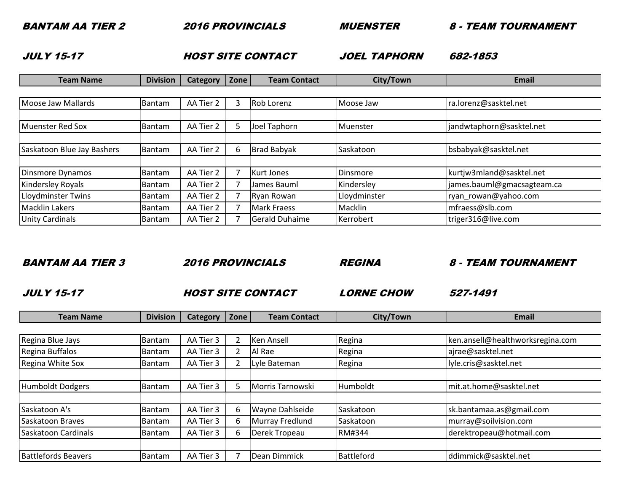2016 PROVINCIALS

MUENSTER

8 - TEAM TOURNAMENT

JULY 15-17

7 **HOST SITE CONTACT** JOEL TAPHORN

**JOEL TAPHORN 682-1853** 

| <b>Division</b> | <b>Category</b> |                | <b>Team Contact</b> | City/Town                                                                                                                  | <b>Email</b>               |
|-----------------|-----------------|----------------|---------------------|----------------------------------------------------------------------------------------------------------------------------|----------------------------|
|                 |                 |                |                     |                                                                                                                            |                            |
| Bantam          | AA Tier 2       | 3              |                     | Moose Jaw                                                                                                                  | ra.lorenz@sasktel.net      |
|                 |                 |                |                     |                                                                                                                            |                            |
| Bantam          | AA Tier 2       | 5              | Joel Taphorn        | Muenster                                                                                                                   | jandwtaphorn@sasktel.net   |
|                 |                 |                |                     |                                                                                                                            |                            |
| Bantam          | AA Tier 2       | 6              |                     | Saskatoon                                                                                                                  | bsbabyak@sasktel.net       |
|                 |                 |                |                     |                                                                                                                            |                            |
| Bantam          | AA Tier 2       | ℸ              |                     | Dinsmore                                                                                                                   | kurtjw3mland@sasktel.net   |
| <b>Bantam</b>   | AA Tier 2       | $\overline{7}$ | James Bauml         | Kindersley                                                                                                                 | james.bauml@gmacsagteam.ca |
| <b>Bantam</b>   | AA Tier 2       | $\overline{7}$ |                     | Lloydminster                                                                                                               | ryan_rowan@yahoo.com       |
| <b>Bantam</b>   | AA Tier 2       | ⇁              |                     | Macklin                                                                                                                    | mfraess@slb.com            |
| <b>Bantam</b>   | AA Tier 2       |                |                     | Kerrobert                                                                                                                  | triger316@live.com         |
|                 |                 |                |                     | Zone<br>Rob Lorenz<br><b>Brad Babyak</b><br>Kurt Jones<br><b>Ryan Rowan</b><br><b>Mark Fraess</b><br><b>Gerald Duhaime</b> |                            |

BANTAM AA TIER 3 2016 PROVINCIALS REGINA8 - TEAM TOURNAMENT

JULY 15-17

The Solution of the STSITE CONTACT CORNE CHOW

**LORNE CHOW 527-1491** 

|  | eam Name | $\sim$<br>Division | category | <b>Zone</b> l | <b>Contact</b><br>Team. | own<br>LITV | Email |
|--|----------|--------------------|----------|---------------|-------------------------|-------------|-------|
|--|----------|--------------------|----------|---------------|-------------------------|-------------|-------|

| Regina Blue Jays           | Bantam        | AA Tier 3 |   | <b>Ken Ansell</b> | Regina        | ken.ansell@healthworksregina.com |
|----------------------------|---------------|-----------|---|-------------------|---------------|----------------------------------|
| Regina Buffalos            | <b>Bantam</b> | AA Tier 3 | 2 | Al Rae            | Regina        | ajrae@sasktel.net                |
| Regina White Sox           | <b>Bantam</b> | AA Tier 3 | C | Lyle Bateman      | Regina        | lyle.cris@sasktel.net            |
|                            |               |           |   |                   |               |                                  |
| Humboldt Dodgers           | Bantam        | AA Tier 3 | 5 | Morris Tarnowski  | Humboldt      | mit.at.home@sasktel.net          |
|                            |               |           |   |                   |               |                                  |
| Saskatoon A's              | <b>Bantam</b> | AA Tier 3 | 6 | Wayne Dahlseide   | Saskatoon     | sk.bantamaa.as@gmail.com         |
| Saskatoon Braves           | Bantam        | AA Tier 3 | 6 | Murray Fredlund   | Saskatoon     | murray@soilvision.com            |
| Saskatoon Cardinals        | Bantam        | AA Tier 3 | 6 | Derek Tropeau     | <b>RM#344</b> | derektropeau@hotmail.com         |
|                            |               |           |   |                   |               |                                  |
| <b>Battlefords Beavers</b> | Bantam        | AA Tier 3 |   | Dean Dimmick      | Battleford    | ddimmick@sasktel.net             |